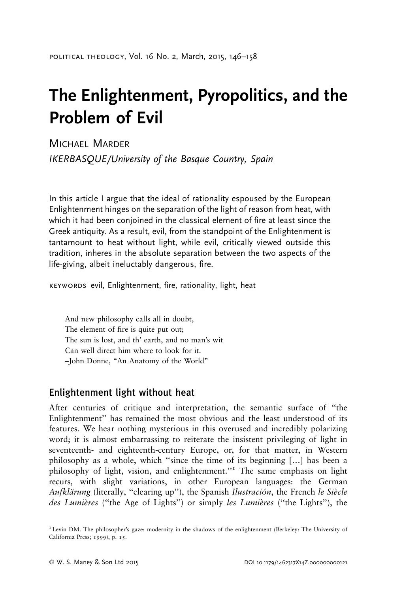# The Enlightenment, Pyropolitics, and the Problem of Evil

MICHAEL MARDER IKERBASQUE/University of the Basque Country, Spain

In this article I argue that the ideal of rationality espoused by the European Enlightenment hinges on the separation of the light of reason from heat, with which it had been conjoined in the classical element of fire at least since the Greek antiquity. As a result, evil, from the standpoint of the Enlightenment is tantamount to heat without light, while evil, critically viewed outside this tradition, inheres in the absolute separation between the two aspects of the life-giving, albeit ineluctably dangerous, fire.

keywords evil, Enlightenment, fire, rationality, light, heat

And new philosophy calls all in doubt, The element of fire is quite put out; The sun is lost, and th' earth, and no man's wit Can well direct him where to look for it. –John Donne, ''An Anatomy of the World''

# Enlightenment light without heat

After centuries of critique and interpretation, the semantic surface of ''the Enlightenment'' has remained the most obvious and the least understood of its features. We hear nothing mysterious in this overused and incredibly polarizing word; it is almost embarrassing to reiterate the insistent privileging of light in seventeenth- and eighteenth-century Europe, or, for that matter, in Western philosophy as a whole, which ''since the time of its beginning […] has been a philosophy of light, vision, and enlightenment.''1 The same emphasis on light recurs, with slight variations, in other European languages: the German Aufklärung (literally, "clearing up"), the Spanish Ilustración, the French le Siècle des Lumières ("the Age of Lights") or simply les Lumières ("the Lights"), the

<sup>&</sup>lt;sup>1</sup> Levin DM. The philosopher's gaze: modernity in the shadows of the enlightenment (Berkeley: The University of California Press; 1999), p. 15.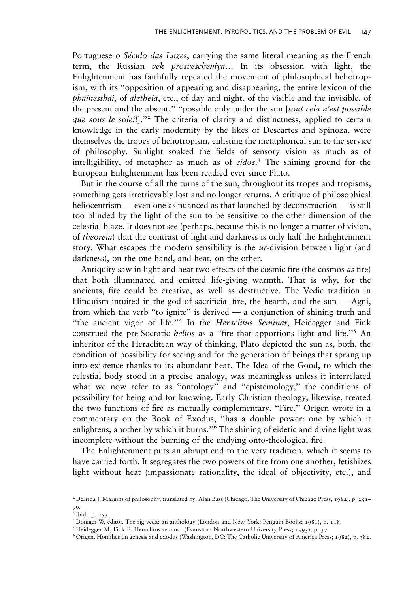Portuguese o Século das Luzes, carrying the same literal meaning as the French term, the Russian vek prosvescheniya… In its obsession with light, the Enlightenment has faithfully repeated the movement of philosophical heliotropism, with its ''opposition of appearing and disappearing, the entire lexicon of the phainesthai, of alētheia, etc., of day and night, of the visible and the invisible, of the present and the absent,'' ''possible only under the sun [tout cela n'est possible que sous le soleill."<sup>2</sup> The criteria of clarity and distinctness, applied to certain knowledge in the early modernity by the likes of Descartes and Spinoza, were themselves the tropes of heliotropism, enlisting the metaphorical sun to the service of philosophy. Sunlight soaked the fields of sensory vision as much as of intelligibility, of metaphor as much as of eidos.<sup>3</sup> The shining ground for the European Enlightenment has been readied ever since Plato.

But in the course of all the turns of the sun, throughout its tropes and tropisms, something gets irretrievably lost and no longer returns. A critique of philosophical heliocentrism — even one as nuanced as that launched by deconstruction — is still too blinded by the light of the sun to be sensitive to the other dimension of the celestial blaze. It does not see (perhaps, because this is no longer a matter of vision, of theoreia) that the contrast of light and darkness is only half the Enlightenment story. What escapes the modern sensibility is the  $ur$ -division between light (and darkness), on the one hand, and heat, on the other.

Antiquity saw in light and heat two effects of the cosmic fire (the cosmos as fire) that both illuminated and emitted life-giving warmth. That is why, for the ancients, fire could be creative, as well as destructive. The Vedic tradition in Hinduism intuited in the god of sacrificial fire, the hearth, and the sun — Agni, from which the verb ''to ignite'' is derived — a conjunction of shining truth and "the ancient vigor of life."<sup>4</sup> In the Heraclitus Seminar, Heidegger and Fink construed the pre-Socratic *helios* as a "fire that apportions light and life."<sup>5</sup> An inheritor of the Heraclitean way of thinking, Plato depicted the sun as, both, the condition of possibility for seeing and for the generation of beings that sprang up into existence thanks to its abundant heat. The Idea of the Good, to which the celestial body stood in a precise analogy, was meaningless unless it interrelated what we now refer to as "ontology" and "epistemology," the conditions of possibility for being and for knowing. Early Christian theology, likewise, treated the two functions of fire as mutually complementary. ''Fire,'' Origen wrote in a commentary on the Book of Exodus, ''has a double power: one by which it enlightens, another by which it burns."<sup>6</sup> The shining of eidetic and divine light was incomplete without the burning of the undying onto-theological fire.

The Enlightenment puts an abrupt end to the very tradition, which it seems to have carried forth. It segregates the two powers of fire from one another, fetishizes light without heat (impassionate rationality, the ideal of objectivity, etc.), and

<sup>&</sup>lt;sup>2</sup> Derrida J. Margins of philosophy, translated by: Alan Bass (Chicago: The University of Chicago Press; 1982), p. 251– 99.

<sup>3</sup> Ibid., p. 253.

<sup>4</sup> Doniger W, editor. The rig veda: an anthology (London and New York: Penguin Books; 1981), p. 118.

<sup>5</sup> Heidegger M, Fink E. Heraclitus seminar (Evanston: Northwestern University Press; 1993), p. 37.

<sup>6</sup> Origen. Homilies on genesis and exodus (Washington, DC: The Catholic University of America Press; 1982), p. 382.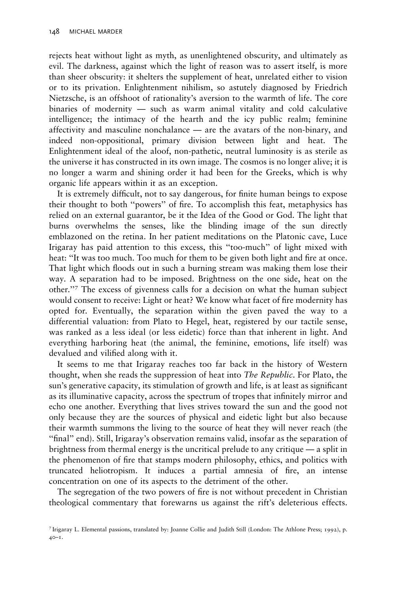rejects heat without light as myth, as unenlightened obscurity, and ultimately as evil. The darkness, against which the light of reason was to assert itself, is more than sheer obscurity: it shelters the supplement of heat, unrelated either to vision or to its privation. Enlightenment nihilism, so astutely diagnosed by Friedrich Nietzsche, is an offshoot of rationality's aversion to the warmth of life. The core binaries of modernity — such as warm animal vitality and cold calculative intelligence; the intimacy of the hearth and the icy public realm; feminine affectivity and masculine nonchalance — are the avatars of the non-binary, and indeed non-oppositional, primary division between light and heat. The Enlightenment ideal of the aloof, non-pathetic, neutral luminosity is as sterile as the universe it has constructed in its own image. The cosmos is no longer alive; it is no longer a warm and shining order it had been for the Greeks, which is why organic life appears within it as an exception.

It is extremely difficult, not to say dangerous, for finite human beings to expose their thought to both ''powers'' of fire. To accomplish this feat, metaphysics has relied on an external guarantor, be it the Idea of the Good or God. The light that burns overwhelms the senses, like the blinding image of the sun directly emblazoned on the retina. In her patient meditations on the Platonic cave, Luce Irigaray has paid attention to this excess, this ''too-much'' of light mixed with heat: ''It was too much. Too much for them to be given both light and fire at once. That light which floods out in such a burning stream was making them lose their way. A separation had to be imposed. Brightness on the one side, heat on the other.''<sup>7</sup> The excess of givenness calls for a decision on what the human subject would consent to receive: Light or heat? We know what facet of fire modernity has opted for. Eventually, the separation within the given paved the way to a differential valuation: from Plato to Hegel, heat, registered by our tactile sense, was ranked as a less ideal (or less eidetic) force than that inherent in light. And everything harboring heat (the animal, the feminine, emotions, life itself) was devalued and vilified along with it.

It seems to me that Irigaray reaches too far back in the history of Western thought, when she reads the suppression of heat into The Republic. For Plato, the sun's generative capacity, its stimulation of growth and life, is at least as significant as its illuminative capacity, across the spectrum of tropes that infinitely mirror and echo one another. Everything that lives strives toward the sun and the good not only because they are the sources of physical and eidetic light but also because their warmth summons the living to the source of heat they will never reach (the "final" end). Still, Irigaray's observation remains valid, insofar as the separation of brightness from thermal energy is the uncritical prelude to any critique — a split in the phenomenon of fire that stamps modern philosophy, ethics, and politics with truncated heliotropism. It induces a partial amnesia of fire, an intense concentration on one of its aspects to the detriment of the other.

The segregation of the two powers of fire is not without precedent in Christian theological commentary that forewarns us against the rift's deleterious effects.

<sup>7</sup> Irigaray L. Elemental passions, translated by: Joanne Collie and Judith Still (London: The Athlone Press; 1992), p. 40–1.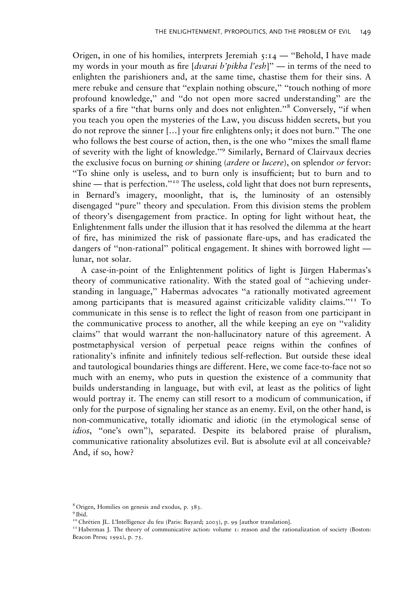Origen, in one of his homilies, interprets Jeremiah  $5:14$  — "Behold, I have made my words in your mouth as fire [dvarai b'pikha l'esh]" — in terms of the need to enlighten the parishioners and, at the same time, chastise them for their sins. A mere rebuke and censure that ''explain nothing obscure,'' ''touch nothing of more profound knowledge,'' and ''do not open more sacred understanding'' are the sparks of a fire "that burns only and does not enlighten."<sup>8</sup> Conversely, "if when you teach you open the mysteries of the Law, you discuss hidden secrets, but you do not reprove the sinner […] your fire enlightens only; it does not burn.'' The one who follows the best course of action, then, is the one who "mixes the small flame" of severity with the light of knowledge.''9 Similarly, Bernard of Clairvaux decries the exclusive focus on burning or shining (ardere or lucere), on splendor or fervor: ''To shine only is useless, and to burn only is insufficient; but to burn and to shine — that is perfection.<sup> $n_{\text{S}}$ </sup> The useless, cold light that does not burn represents, in Bernard's imagery, moonlight, that is, the luminosity of an ostensibly disengaged ''pure'' theory and speculation. From this division stems the problem of theory's disengagement from practice. In opting for light without heat, the Enlightenment falls under the illusion that it has resolved the dilemma at the heart of fire, has minimized the risk of passionate flare-ups, and has eradicated the dangers of ''non-rational'' political engagement. It shines with borrowed light lunar, not solar.

A case-in-point of the Enlightenment politics of light is Jürgen Habermas's theory of communicative rationality. With the stated goal of ''achieving understanding in language,'' Habermas advocates ''a rationally motivated agreement among participants that is measured against criticizable validity claims."<sup>11</sup> To communicate in this sense is to reflect the light of reason from one participant in the communicative process to another, all the while keeping an eye on ''validity claims'' that would warrant the non-hallucinatory nature of this agreement. A postmetaphysical version of perpetual peace reigns within the confines of rationality's infinite and infinitely tedious self-reflection. But outside these ideal and tautological boundaries things are different. Here, we come face-to-face not so much with an enemy, who puts in question the existence of a community that builds understanding in language, but with evil, at least as the politics of light would portray it. The enemy can still resort to a modicum of communication, if only for the purpose of signaling her stance as an enemy. Evil, on the other hand, is non-communicative, totally idiomatic and idiotic (in the etymological sense of idios, ''one's own''), separated. Despite its belabored praise of pluralism, communicative rationality absolutizes evil. But is absolute evil at all conceivable? And, if so, how?

<sup>8</sup> Origen, Homilies on genesis and exodus, p. 383.

<sup>9</sup> Ibid.

<sup>&</sup>lt;sup>10</sup> Chrétien JL. L'Intelligence du feu (Paris: Bayard; 2003), p. 99 [author translation].

<sup>&</sup>lt;sup>11</sup> Habermas J. The theory of communicative action: volume 1: reason and the rationalization of society (Boston: Beacon Press; 1992), p. 75.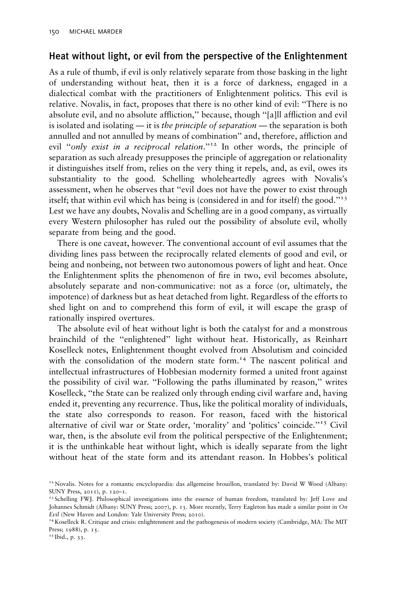### Heat without light, or evil from the perspective of the Enlightenment

As a rule of thumb, if evil is only relatively separate from those basking in the light of understanding without heat, then it is a force of darkness, engaged in a dialectical combat with the practitioners of Enlightenment politics. This evil is relative. Novalis, in fact, proposes that there is no other kind of evil: ''There is no absolute evil, and no absolute affliction,'' because, though ''[a]ll affliction and evil is isolated and isolating — it is *the principle of separation* — the separation is both annulled and not annulled by means of combination'' and, therefore, affliction and evil "only exist in a reciprocal relation."<sup>12</sup> In other words, the principle of separation as such already presupposes the principle of aggregation or relationality it distinguishes itself from, relies on the very thing it repels, and, as evil, owes its substantiality to the good. Schelling wholeheartedly agrees with Novalis's assessment, when he observes that ''evil does not have the power to exist through itself; that within evil which has being is (considered in and for itself) the good."<sup>13</sup> Lest we have any doubts, Novalis and Schelling are in a good company, as virtually every Western philosopher has ruled out the possibility of absolute evil, wholly separate from being and the good.

There is one caveat, however. The conventional account of evil assumes that the dividing lines pass between the reciprocally related elements of good and evil, or being and nonbeing, not between two autonomous powers of light and heat. Once the Enlightenment splits the phenomenon of fire in two, evil becomes absolute, absolutely separate and non-communicative: not as a force (or, ultimately, the impotence) of darkness but as heat detached from light. Regardless of the efforts to shed light on and to comprehend this form of evil, it will escape the grasp of rationally inspired overtures.

The absolute evil of heat without light is both the catalyst for and a monstrous brainchild of the ''enlightened'' light without heat. Historically, as Reinhart Koselleck notes, Enlightenment thought evolved from Absolutism and coincided with the consolidation of the modern state form.<sup>14</sup> The nascent political and intellectual infrastructures of Hobbesian modernity formed a united front against the possibility of civil war. ''Following the paths illuminated by reason,'' writes Koselleck, ''the State can be realized only through ending civil warfare and, having ended it, preventing any recurrence. Thus, like the political morality of individuals, the state also corresponds to reason. For reason, faced with the historical alternative of civil war or State order, 'morality' and 'politics' coincide.''<sup>15</sup> Civil war, then, is the absolute evil from the political perspective of the Enlightenment; it is the unthinkable heat without light, which is ideally separate from the light without heat of the state form and its attendant reason. In Hobbes's political

 $15$  Ibid., p. 33.

<sup>12</sup> Novalis. Notes for a romantic encyclopaedia: das allgemeine brouillon, translated by: David W Wood (Albany: SUNY Press, 2011), p. 120–1.

<sup>13</sup> Schelling FWJ. Philosophical investigations into the essence of human freedom, translated by: Jeff Love and Johannes Schmidt (Albany: SUNY Press; 2007), p. 13. More recently, Terry Eagleton has made a similar point in On Evil (New Haven and London: Yale University Press; 2010).

<sup>&</sup>lt;sup>14</sup> Koselleck R. Critique and crisis: enlightenment and the pathogenesis of modern society (Cambridge, MA: The MIT Press; 1988), p. 15.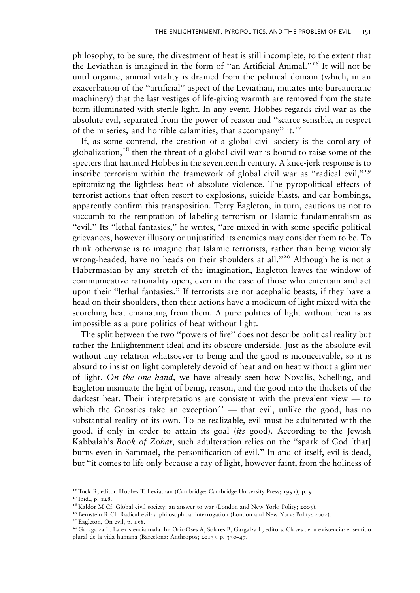philosophy, to be sure, the divestment of heat is still incomplete, to the extent that the Leviathan is imagined in the form of ''an Artificial Animal.''<sup>16</sup> It will not be until organic, animal vitality is drained from the political domain (which, in an exacerbation of the ''artificial'' aspect of the Leviathan, mutates into bureaucratic machinery) that the last vestiges of life-giving warmth are removed from the state form illuminated with sterile light. In any event, Hobbes regards civil war as the absolute evil, separated from the power of reason and ''scarce sensible, in respect of the miseries, and horrible calamities, that accompany" it.<sup>17</sup>

If, as some contend, the creation of a global civil society is the corollary of globalization,<sup>18</sup> then the threat of a global civil war is bound to raise some of the specters that haunted Hobbes in the seventeenth century. A knee-jerk response is to inscribe terrorism within the framework of global civil war as "radical evil,"<sup>19</sup> epitomizing the lightless heat of absolute violence. The pyropolitical effects of terrorist actions that often resort to explosions, suicide blasts, and car bombings, apparently confirm this transposition. Terry Eagleton, in turn, cautions us not to succumb to the temptation of labeling terrorism or Islamic fundamentalism as "evil." Its "lethal fantasies," he writes, "are mixed in with some specific political grievances, however illusory or unjustified its enemies may consider them to be. To think otherwise is to imagine that Islamic terrorists, rather than being viciously wrong-headed, have no heads on their shoulders at all."<sup>20</sup> Although he is not a Habermasian by any stretch of the imagination, Eagleton leaves the window of communicative rationality open, even in the case of those who entertain and act upon their ''lethal fantasies.'' If terrorists are not acephalic beasts, if they have a head on their shoulders, then their actions have a modicum of light mixed with the scorching heat emanating from them. A pure politics of light without heat is as impossible as a pure politics of heat without light.

The split between the two ''powers of fire'' does not describe political reality but rather the Enlightenment ideal and its obscure underside. Just as the absolute evil without any relation whatsoever to being and the good is inconceivable, so it is absurd to insist on light completely devoid of heat and on heat without a glimmer of light. On the one hand, we have already seen how Novalis, Schelling, and Eagleton insinuate the light of being, reason, and the good into the thickets of the darkest heat. Their interpretations are consistent with the prevalent view — to which the Gnostics take an exception<sup>21</sup> — that evil, unlike the good, has no substantial reality of its own. To be realizable, evil must be adulterated with the good, if only in order to attain its goal (its good). According to the Jewish Kabbalah's Book of Zohar, such adulteration relies on the "spark of God [that] burns even in Sammael, the personification of evil.'' In and of itself, evil is dead, but ''it comes to life only because a ray of light, however faint, from the holiness of

<sup>&</sup>lt;sup>16</sup> Tuck R, editor. Hobbes T. Leviathan (Cambridge: Cambridge University Press; 1991), p. 9.

<sup>&</sup>lt;sup>17</sup> Ibid., p. 128.

<sup>&</sup>lt;sup>18</sup> Kaldor M Cf. Global civil society: an answer to war (London and New York: Polity; 2003).

 $19$  Bernstein R Cf. Radical evil: a philosophical interrogation (London and New York: Polity; 2002).

<sup>&</sup>lt;sup>20</sup> Eagleton, On evil, p. 158.

<sup>21</sup> Garagalza L. La existencia mala. In: Oriz-Oses A, Solares B, Gargalza L, editors. Claves de la existencia: el sentido plural de la vida humana (Barcelona: Anthropos; 2013), p. 330–47.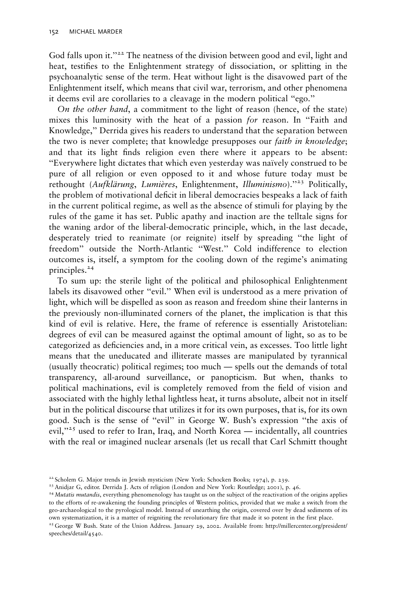God falls upon it."<sup>22</sup> The neatness of the division between good and evil, light and heat, testifies to the Enlightenment strategy of dissociation, or splitting in the psychoanalytic sense of the term. Heat without light is the disavowed part of the Enlightenment itself, which means that civil war, terrorism, and other phenomena it deems evil are corollaries to a cleavage in the modern political ''ego.''

On the other hand, a commitment to the light of reason (hence, of the state) mixes this luminosity with the heat of a passion for reason. In ''Faith and Knowledge,'' Derrida gives his readers to understand that the separation between the two is never complete; that knowledge presupposes our *faith in knowledge*; and that its light finds religion even there where it appears to be absent: ''Everywhere light dictates that which even yesterday was naı¨vely construed to be pure of all religion or even opposed to it and whose future today must be rethought (Aufklärung, Lumières, Enlightenment, Illuminismo)."<sup>23</sup> Politically, the problem of motivational deficit in liberal democracies bespeaks a lack of faith in the current political regime, as well as the absence of stimuli for playing by the rules of the game it has set. Public apathy and inaction are the telltale signs for the waning ardor of the liberal-democratic principle, which, in the last decade, desperately tried to reanimate (or reignite) itself by spreading ''the light of freedom'' outside the North-Atlantic ''West.'' Cold indifference to election outcomes is, itself, a symptom for the cooling down of the regime's animating principles.<sup>24</sup>

To sum up: the sterile light of the political and philosophical Enlightenment labels its disavowed other ''evil.'' When evil is understood as a mere privation of light, which will be dispelled as soon as reason and freedom shine their lanterns in the previously non-illuminated corners of the planet, the implication is that this kind of evil is relative. Here, the frame of reference is essentially Aristotelian: degrees of evil can be measured against the optimal amount of light, so as to be categorized as deficiencies and, in a more critical vein, as excesses. Too little light means that the uneducated and illiterate masses are manipulated by tyrannical (usually theocratic) political regimes; too much — spells out the demands of total transparency, all-around surveillance, or panopticism. But when, thanks to political machinations, evil is completely removed from the field of vision and associated with the highly lethal lightless heat, it turns absolute, albeit not in itself but in the political discourse that utilizes it for its own purposes, that is, for its own good. Such is the sense of ''evil'' in George W. Bush's expression ''the axis of evil, $v_{25}$  used to refer to Iran, Iraq, and North Korea — incidentally, all countries with the real or imagined nuclear arsenals (let us recall that Carl Schmitt thought

 $22$  Scholem G. Major trends in Jewish mysticism (New York: Schocken Books; 1974), p. 239.

<sup>23</sup> Anidjar G, editor. Derrida J. Acts of religion (London and New York: Routledge; 2001), p. 46.

<sup>&</sup>lt;sup>24</sup> Mutatis mutandis, everything phenomenology has taught us on the subject of the reactivation of the origins applies to the efforts of re-awakening the founding principles of Western politics, provided that we make a switch from the geo-archaeological to the pyrological model. Instead of unearthing the origin, covered over by dead sediments of its own systematization, it is a matter of reigniting the revolutionary fire that made it so potent in the first place.

<sup>&</sup>lt;sup>25</sup> George W Bush. State of the Union Address. January 29, 2002. Available from: http://millercenter.org/president/ speeches/detail/4540.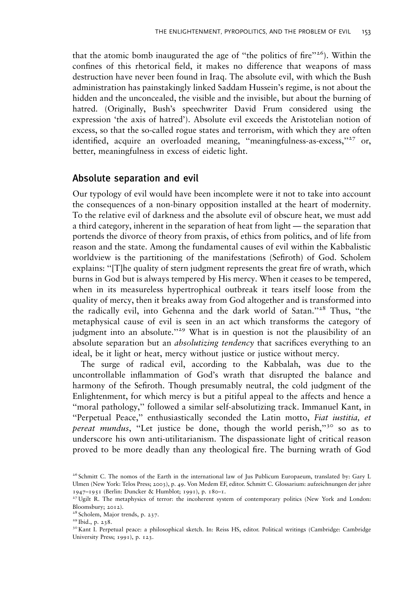that the atomic bomb inaugurated the age of "the politics of fire"<sup>26</sup>). Within the confines of this rhetorical field, it makes no difference that weapons of mass destruction have never been found in Iraq. The absolute evil, with which the Bush administration has painstakingly linked Saddam Hussein's regime, is not about the hidden and the unconcealed, the visible and the invisible, but about the burning of hatred. (Originally, Bush's speechwriter David Frum considered using the expression 'the axis of hatred'). Absolute evil exceeds the Aristotelian notion of excess, so that the so-called rogue states and terrorism, with which they are often identified, acquire an overloaded meaning, "meaningfulness-as-excess,"<sup>27</sup> or, better, meaningfulness in excess of eidetic light.

#### Absolute separation and evil

Our typology of evil would have been incomplete were it not to take into account the consequences of a non-binary opposition installed at the heart of modernity. To the relative evil of darkness and the absolute evil of obscure heat, we must add a third category, inherent in the separation of heat from light — the separation that portends the divorce of theory from praxis, of ethics from politics, and of life from reason and the state. Among the fundamental causes of evil within the Kabbalistic worldview is the partitioning of the manifestations (Sefiroth) of God. Scholem explains: ''[T]he quality of stern judgment represents the great fire of wrath, which burns in God but is always tempered by His mercy. When it ceases to be tempered, when in its measureless hypertrophical outbreak it tears itself loose from the quality of mercy, then it breaks away from God altogether and is transformed into the radically evil, into Gehenna and the dark world of Satan."<sup>28</sup> Thus, "the metaphysical cause of evil is seen in an act which transforms the category of judgment into an absolute."<sup>29</sup> What is in question is not the plausibility of an absolute separation but an *absolutizing tendency* that sacrifices everything to an ideal, be it light or heat, mercy without justice or justice without mercy.

The surge of radical evil, according to the Kabbalah, was due to the uncontrollable inflammation of God's wrath that disrupted the balance and harmony of the Sefiroth. Though presumably neutral, the cold judgment of the Enlightenment, for which mercy is but a pitiful appeal to the affects and hence a "moral pathology," followed a similar self-absolutizing track. Immanuel Kant, in ''Perpetual Peace,'' enthusiastically seconded the Latin motto, Fiat iustitia, et pereat mundus, "Let justice be done, though the world perish,"<sup>30</sup> so as to underscore his own anti-utilitarianism. The dispassionate light of critical reason proved to be more deadly than any theological fire. The burning wrath of God

<sup>&</sup>lt;sup>26</sup> Schmitt C. The nomos of the Earth in the international law of Jus Publicum Europaeum, translated by: Gary L Ulmen (New York: Telos Press; 2003), p. 49. Von Medem EF, editor. Schmitt C. Glossarium: aufzeichnungen der jahre 1947–1951 (Berlin: Duncker & Humblot; 1991), p. 180–1.

<sup>&</sup>lt;sup>27</sup> Ugilt R. The metaphysics of terror: the incoherent system of contemporary politics (New York and London: Bloomsbury; 2012).

<sup>&</sup>lt;sup>28</sup> Scholem, Major trends, p. 237.

<sup>29</sup> Ibid., p. 238.

<sup>&</sup>lt;sup>30</sup> Kant I. Perpetual peace: a philosophical sketch. In: Reiss HS, editor. Political writings (Cambridge: Cambridge University Press; 1991), p. 123.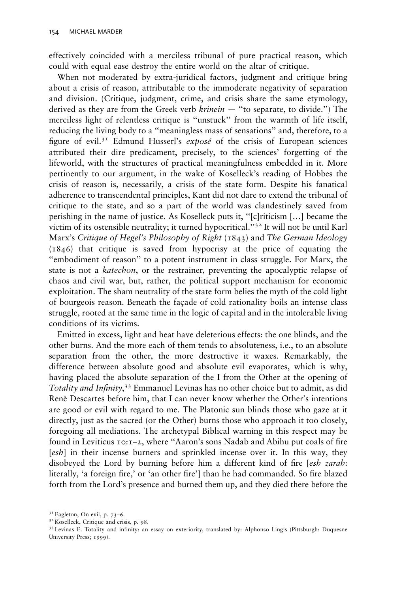effectively coincided with a merciless tribunal of pure practical reason, which could with equal ease destroy the entire world on the altar of critique.

When not moderated by extra-juridical factors, judgment and critique bring about a crisis of reason, attributable to the immoderate negativity of separation and division. (Critique, judgment, crime, and crisis share the same etymology, derived as they are from the Greek verb  $k$ rinein  $-$  "to separate, to divide.") The merciless light of relentless critique is ''unstuck'' from the warmth of life itself, reducing the living body to a ''meaningless mass of sensations'' and, therefore, to a figure of evil.<sup>31</sup> Edmund Husserl's *exposé* of the crisis of European sciences attributed their dire predicament, precisely, to the sciences' forgetting of the lifeworld, with the structures of practical meaningfulness embedded in it. More pertinently to our argument, in the wake of Koselleck's reading of Hobbes the crisis of reason is, necessarily, a crisis of the state form. Despite his fanatical adherence to transcendental principles, Kant did not dare to extend the tribunal of critique to the state, and so a part of the world was clandestinely saved from perishing in the name of justice. As Koselleck puts it, ''[c]riticism […] became the victim of its ostensible neutrality; it turned hypocritical.''<sup>32</sup> It will not be until Karl Marx's Critique of Hegel's Philosophy of Right (1843) and The German Ideology (1846) that critique is saved from hypocrisy at the price of equating the ''embodiment of reason'' to a potent instrument in class struggle. For Marx, the state is not a *katechon*, or the restrainer, preventing the apocalyptic relapse of chaos and civil war, but, rather, the political support mechanism for economic exploitation. The sham neutrality of the state form belies the myth of the cold light of bourgeois reason. Beneath the facade of cold rationality boils an intense class struggle, rooted at the same time in the logic of capital and in the intolerable living conditions of its victims.

Emitted in excess, light and heat have deleterious effects: the one blinds, and the other burns. And the more each of them tends to absoluteness, i.e., to an absolute separation from the other, the more destructive it waxes. Remarkably, the difference between absolute good and absolute evil evaporates, which is why, having placed the absolute separation of the I from the Other at the opening of Totality and Infinity,<sup>33</sup> Emmanuel Levinas has no other choice but to admit, as did René Descartes before him, that I can never know whether the Other's intentions are good or evil with regard to me. The Platonic sun blinds those who gaze at it directly, just as the sacred (or the Other) burns those who approach it too closely, foregoing all mediations. The archetypal Biblical warning in this respect may be found in Leviticus 10:1–2, where ''Aaron's sons Nadab and Abihu put coals of fire [esh] in their incense burners and sprinkled incense over it. In this way, they disobeyed the Lord by burning before him a different kind of fire [esh zarah: literally, 'a foreign fire,' or 'an other fire'] than he had commanded. So fire blazed forth from the Lord's presence and burned them up, and they died there before the

 $3<sup>1</sup>$  Eagleton, On evil, p. 73–6.

<sup>32</sup> Koselleck, Critique and crisis, p. 98.

<sup>&</sup>lt;sup>33</sup> Levinas E. Totality and infinity: an essay on exteriority, translated by: Alphonso Lingis (Pittsburgh: Duquesne University Press; 1999).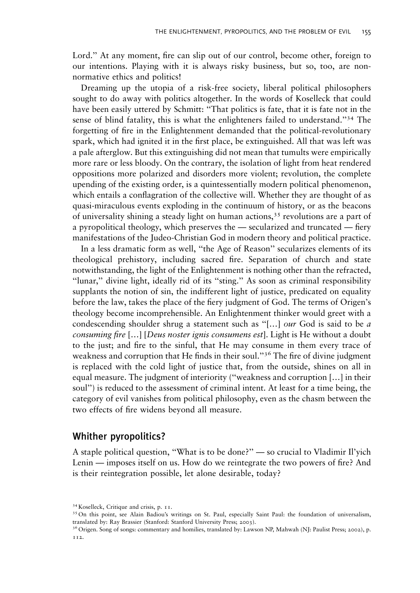Lord." At any moment, fire can slip out of our control, become other, foreign to our intentions. Playing with it is always risky business, but so, too, are nonnormative ethics and politics!

Dreaming up the utopia of a risk-free society, liberal political philosophers sought to do away with politics altogether. In the words of Koselleck that could have been easily uttered by Schmitt: ''That politics is fate, that it is fate not in the sense of blind fatality, this is what the enlighteners failed to understand.''34 The forgetting of fire in the Enlightenment demanded that the political-revolutionary spark, which had ignited it in the first place, be extinguished. All that was left was a pale afterglow. But this extinguishing did not mean that tumults were empirically more rare or less bloody. On the contrary, the isolation of light from heat rendered oppositions more polarized and disorders more violent; revolution, the complete upending of the existing order, is a quintessentially modern political phenomenon, which entails a conflagration of the collective will. Whether they are thought of as quasi-miraculous events exploding in the continuum of history, or as the beacons of universality shining a steady light on human actions,<sup>35</sup> revolutions are a part of a pyropolitical theology, which preserves the — secularized and truncated — fiery manifestations of the Judeo-Christian God in modern theory and political practice.

In a less dramatic form as well, ''the Age of Reason'' secularizes elements of its theological prehistory, including sacred fire. Separation of church and state notwithstanding, the light of the Enlightenment is nothing other than the refracted, "lunar," divine light, ideally rid of its "sting." As soon as criminal responsibility supplants the notion of sin, the indifferent light of justice, predicated on equality before the law, takes the place of the fiery judgment of God. The terms of Origen's theology become incomprehensible. An Enlightenment thinker would greet with a condescending shoulder shrug a statement such as "[...] our God is said to be a consuming fire […] [Deus noster ignis consumens est]. Light is He without a doubt to the just; and fire to the sinful, that He may consume in them every trace of weakness and corruption that He finds in their soul."<sup>36</sup> The fire of divine judgment is replaced with the cold light of justice that, from the outside, shines on all in equal measure. The judgment of interiority (''weakness and corruption […] in their soul'') is reduced to the assessment of criminal intent. At least for a time being, the category of evil vanishes from political philosophy, even as the chasm between the two effects of fire widens beyond all measure.

## Whither pyropolitics?

A staple political question, ''What is to be done?'' — so crucial to Vladimir Il'yich Lenin — imposes itself on us. How do we reintegrate the two powers of fire? And is their reintegration possible, let alone desirable, today?

<sup>34</sup> Koselleck, Critique and crisis, p. 11.

<sup>&</sup>lt;sup>35</sup> On this point, see Alain Badiou's writings on St. Paul, especially Saint Paul: the foundation of universalism, translated by: Ray Brassier (Stanford: Stanford University Press; 2003).

<sup>&</sup>lt;sup>36</sup> Origen. Song of songs: commentary and homilies, translated by: Lawson NP, Mahwah (NJ: Paulist Press; 2002), p. 112.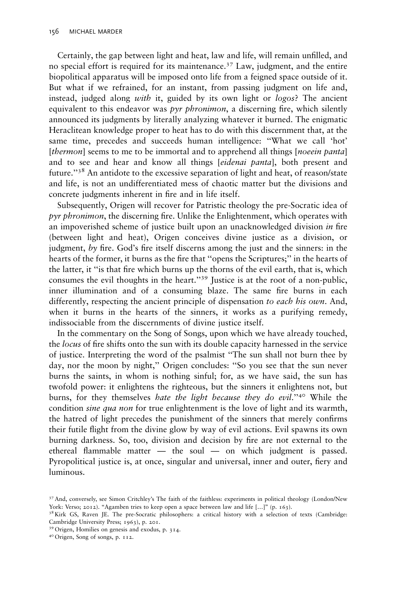Certainly, the gap between light and heat, law and life, will remain unfilled, and no special effort is required for its maintenance.<sup>37</sup> Law, judgment, and the entire biopolitical apparatus will be imposed onto life from a feigned space outside of it. But what if we refrained, for an instant, from passing judgment on life and, instead, judged along *with* it, guided by its own light or *logos*? The ancient equivalent to this endeavor was *pyr phronimon*, a discerning fire, which silently announced its judgments by literally analyzing whatever it burned. The enigmatic Heraclitean knowledge proper to heat has to do with this discernment that, at the same time, precedes and succeeds human intelligence: ''What we call 'hot' [thermon] seems to me to be immortal and to apprehend all things [noeein panta] and to see and hear and know all things [eidenai panta], both present and future."<sup>38</sup> An antidote to the excessive separation of light and heat, of reason/state and life, is not an undifferentiated mess of chaotic matter but the divisions and concrete judgments inherent in fire and in life itself.

Subsequently, Origen will recover for Patristic theology the pre-Socratic idea of *pyr phronimon*, the discerning fire. Unlike the Enlightenment, which operates with an impoverished scheme of justice built upon an unacknowledged division in fire (between light and heat), Origen conceives divine justice as a division, or judgment, by fire. God's fire itself discerns among the just and the sinners: in the hearts of the former, it burns as the fire that ''opens the Scriptures;'' in the hearts of the latter, it ''is that fire which burns up the thorns of the evil earth, that is, which consumes the evil thoughts in the heart.''39 Justice is at the root of a non-public, inner illumination and of a consuming blaze. The same fire burns in each differently, respecting the ancient principle of dispensation to each his own. And, when it burns in the hearts of the sinners, it works as a purifying remedy, indissociable from the discernments of divine justice itself.

In the commentary on the Song of Songs, upon which we have already touched, the *locus* of fire shifts onto the sun with its double capacity harnessed in the service of justice. Interpreting the word of the psalmist ''The sun shall not burn thee by day, nor the moon by night,'' Origen concludes: ''So you see that the sun never burns the saints, in whom is nothing sinful; for, as we have said, the sun has twofold power: it enlightens the righteous, but the sinners it enlightens not, but burns, for they themselves hate the light because they do evil."<sup>40</sup> While the condition *sine qua non* for true enlightenment is the love of light and its warmth, the hatred of light precedes the punishment of the sinners that merely confirms their futile flight from the divine glow by way of evil actions. Evil spawns its own burning darkness. So, too, division and decision by fire are not external to the ethereal flammable matter — the soul — on which judgment is passed. Pyropolitical justice is, at once, singular and universal, inner and outer, fiery and luminous.

<sup>40</sup> Origen, Song of songs, p. 112.

<sup>37</sup> And, conversely, see Simon Critchley's The faith of the faithless: experiments in political theology (London/New York: Verso; 2012). "Agamben tries to keep open a space between law and life [...]" (p. 163).

<sup>&</sup>lt;sup>38</sup> Kirk GS, Raven JE. The pre-Socratic philosophers: a critical history with a selection of texts (Cambridge: Cambridge University Press; 1963), p. 201.

<sup>39</sup> Origen, Homilies on genesis and exodus, p. 314.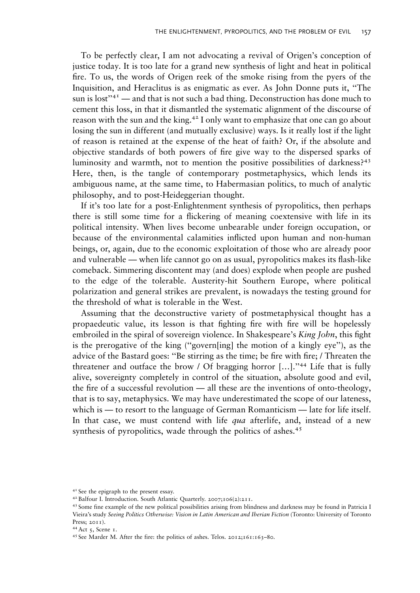To be perfectly clear, I am not advocating a revival of Origen's conception of justice today. It is too late for a grand new synthesis of light and heat in political fire. To us, the words of Origen reek of the smoke rising from the pyers of the Inquisition, and Heraclitus is as enigmatic as ever. As John Donne puts it, ''The sun is lost" $4<sup>1</sup>$  — and that is not such a bad thing. Deconstruction has done much to cement this loss, in that it dismantled the systematic alignment of the discourse of reason with the sun and the king.<sup>42</sup> I only want to emphasize that one can go about losing the sun in different (and mutually exclusive) ways. Is it really lost if the light of reason is retained at the expense of the heat of faith? Or, if the absolute and objective standards of both powers of fire give way to the dispersed sparks of luminosity and warmth, not to mention the positive possibilities of darkness?43 Here, then, is the tangle of contemporary postmetaphysics, which lends its ambiguous name, at the same time, to Habermasian politics, to much of analytic philosophy, and to post-Heideggerian thought.

If it's too late for a post-Enlightenment synthesis of pyropolitics, then perhaps there is still some time for a flickering of meaning coextensive with life in its political intensity. When lives become unbearable under foreign occupation, or because of the environmental calamities inflicted upon human and non-human beings, or, again, due to the economic exploitation of those who are already poor and vulnerable — when life cannot go on as usual, pyropolitics makes its flash-like comeback. Simmering discontent may (and does) explode when people are pushed to the edge of the tolerable. Austerity-hit Southern Europe, where political polarization and general strikes are prevalent, is nowadays the testing ground for the threshold of what is tolerable in the West.

Assuming that the deconstructive variety of postmetaphysical thought has a propaedeutic value, its lesson is that fighting fire with fire will be hopelessly embroiled in the spiral of sovereign violence. In Shakespeare's *King John*, this fight is the prerogative of the king (''govern[ing] the motion of a kingly eye''), as the advice of the Bastard goes: ''Be stirring as the time; be fire with fire; / Threaten the threatener and outface the brow / Of bragging horror  $[\,\ldots\,]$ ."<sup>44</sup> Life that is fully alive, sovereignty completely in control of the situation, absolute good and evil, the fire of a successful revolution  $-$  all these are the inventions of onto-theology, that is to say, metaphysics. We may have underestimated the scope of our lateness, which is — to resort to the language of German Romanticism — late for life itself. In that case, we must contend with life *qua* afterlife, and, instead of a new synthesis of pyropolitics, wade through the politics of ashes.<sup>45</sup>

<sup>&</sup>lt;sup>41</sup> See the epigraph to the present essay.

<sup>42</sup> Balfour I. Introduction. South Atlantic Quarterly. 2007;106(2):211.

<sup>43</sup> Some fine example of the new political possibilities arising from blindness and darkness may be found in Patricia I Vieira's study Seeing Politics Otherwise: Vision in Latin American and Iberian Fiction (Toronto: University of Toronto Press; 2011).

<sup>&</sup>lt;sup>44</sup> Act 5, Scene 1.

<sup>45</sup> See Marder M. After the fire: the politics of ashes. Telos. 2012;161:163–80.